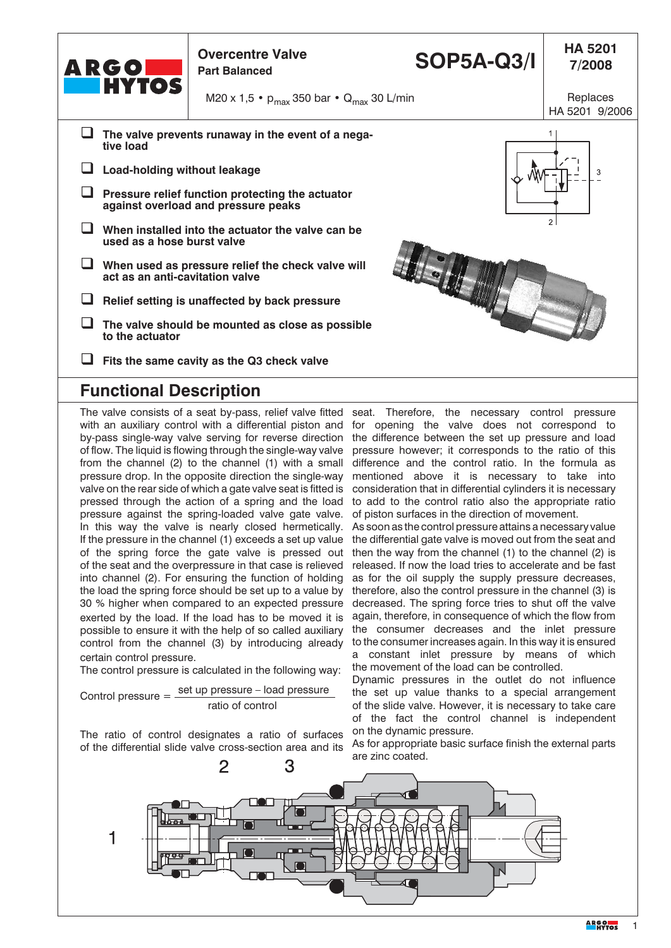| <b>ARGONIA</b><br>MYTOS                                                                           | <b>Overcentre Valve</b><br><b>Part Balanced</b>    | <b>SOP5A-Q3/I</b> | <b>HA 5201</b><br>7/2008   |  |
|---------------------------------------------------------------------------------------------------|----------------------------------------------------|-------------------|----------------------------|--|
|                                                                                                   | M20 x 1,5 • $p_{max}$ 350 bar • $Q_{max}$ 30 L/min |                   | Replaces<br>HA 5201 9/2006 |  |
| The valve prevents runaway in the event of a nega-<br>tive load                                   |                                                    |                   |                            |  |
| Load-holding without leakage                                                                      |                                                    |                   | 3                          |  |
| Pressure relief function protecting the actuator<br>against overload and pressure peaks           |                                                    |                   |                            |  |
| $\overline{2}$<br>When installed into the actuator the valve can be<br>used as a hose burst valve |                                                    |                   |                            |  |
| When used as pressure relief the check valve will<br>act as an anti-cavitation valve              |                                                    |                   |                            |  |
| Relief setting is unaffected by back pressure                                                     |                                                    |                   |                            |  |
| to the actuator                                                                                   | The valve should be mounted as close as possible   |                   |                            |  |
|                                                                                                   | Fits the same cavity as the Q3 check valve         |                   |                            |  |

## **Functional Description**

The valve consists of a seat by-pass, relief valve fitted seat. Therefore, the necessary control pressure with an auxiliary control with a differential piston and for opening the valve does not correspond to by-pass single-way valve serving for reverse direction the difference between the set up pressure and load of flow. The liquid is flowing through the single-way valve pressure however; it corresponds to the ratio of this from the channel (2) to the channel (1) with a small difference and the control ratio. In the formula as pressure drop. In the opposite direction the single-way mentioned above it is necessary to take into valve on the rear side of which a gate valve seat is fitted is consideration that in differential cylinders it is necessary pressed through the action of a spring and the load to add to the control ratio also the appropriate ratio pressure against the spring-loaded valve gate valve. In this way the valve is nearly closed hermetically. If the pressure in the channel (1) exceeds a set up value of the spring force the gate valve is pressed out of the seat and the overpressure in that case is relieved into channel (2). For ensuring the function of holding the load the spring force should be set up to a value by 30 % higher when compared to an expected pressure exerted by the load. If the load has to be moved it is possible to ensure it with the help of so called auxiliary control from the channel (3) by introducing already certain control pressure.

The control pressure is calculated in the following way:

Control pressure = 
$$
\frac{\text{set up pressure} - \text{load pressure}}{\text{ratio of control}}
$$

The ratio of control designates a ratio of surfaces of the differential slide valve cross-section area and its

of piston surfaces in the direction of movement.

As soon as the control pressure attains a necessary value the differential gate valve is moved out from the seat and then the way from the channel (1) to the channel (2) is released. If now the load tries to accelerate and be fast as for the oil supply the supply pressure decreases, therefore, also the control pressure in the channel (3) is decreased. The spring force tries to shut off the valve again, therefore, in consequence of which the flow from the consumer decreases and the inlet pressure to the consumer increases again. In this way it is ensured a constant inlet pressure by means of which the movement of the load can be controlled.

Dynamic pressures in the outlet do not influence the set up value thanks to a special arrangement of the slide valve. However, it is necessary to take care of the fact the control channel is independent on the dynamic pressure.

As for appropriate basic surface finish the external parts are zinc coated.

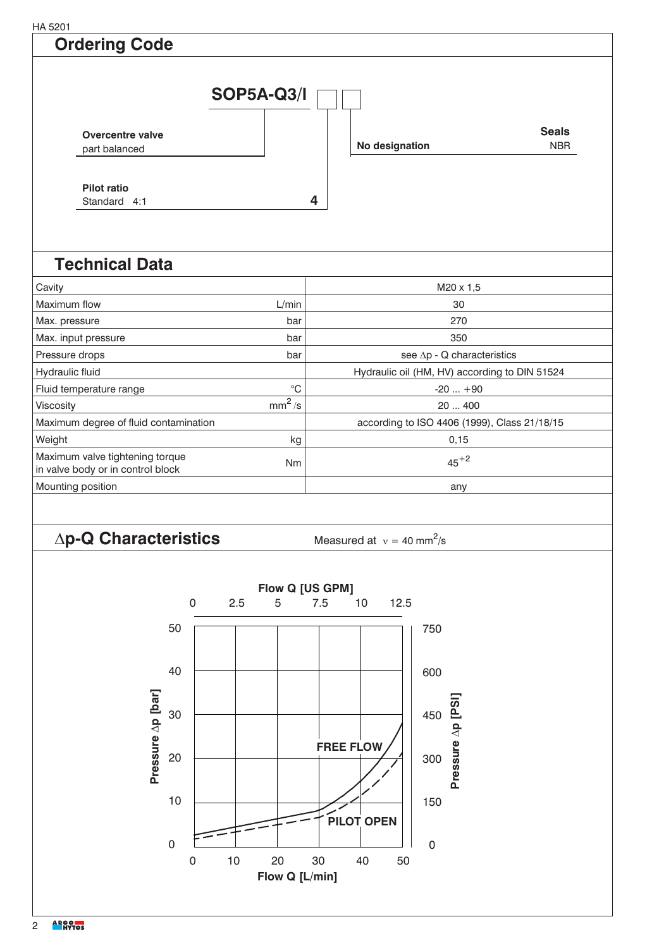HA 5201

## **Ordering Code**



## **Technical Data**

| Cavity                                                               |             | $M20 \times 1,5$                              |
|----------------------------------------------------------------------|-------------|-----------------------------------------------|
| l Maximum flow                                                       | L/min       | 30                                            |
| Max. pressure                                                        | bar         | 270                                           |
| Max. input pressure                                                  | bar         | 350                                           |
| Pressure drops                                                       | bar         | see $\Delta p$ - Q characteristics            |
| Hydraulic fluid                                                      |             | Hydraulic oil (HM, HV) according to DIN 51524 |
| Fluid temperature range                                              | $^{\circ}C$ | $-20+90$                                      |
| Viscosity                                                            | $mm^2/s$    | 20400                                         |
| Maximum degree of fluid contamination                                |             | according to ISO 4406 (1999), Class 21/18/15  |
| Weight                                                               | kg          | 0,15                                          |
| Maximum valve tightening torque<br>in valve body or in control block | <b>Nm</b>   | $45+2$                                        |
| Mounting position                                                    |             | any                                           |

## $\Delta p$ **-Q Characteristics** Measured at  $v = 40$  mm<sup>2</sup>

Measured at  $v = 40$  mm<sup>2</sup>/s

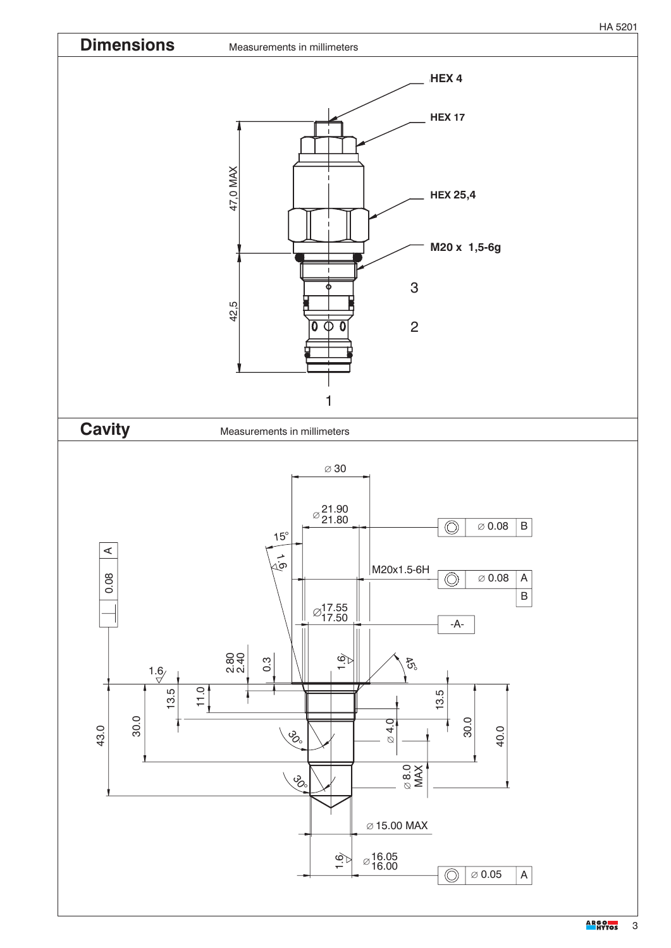